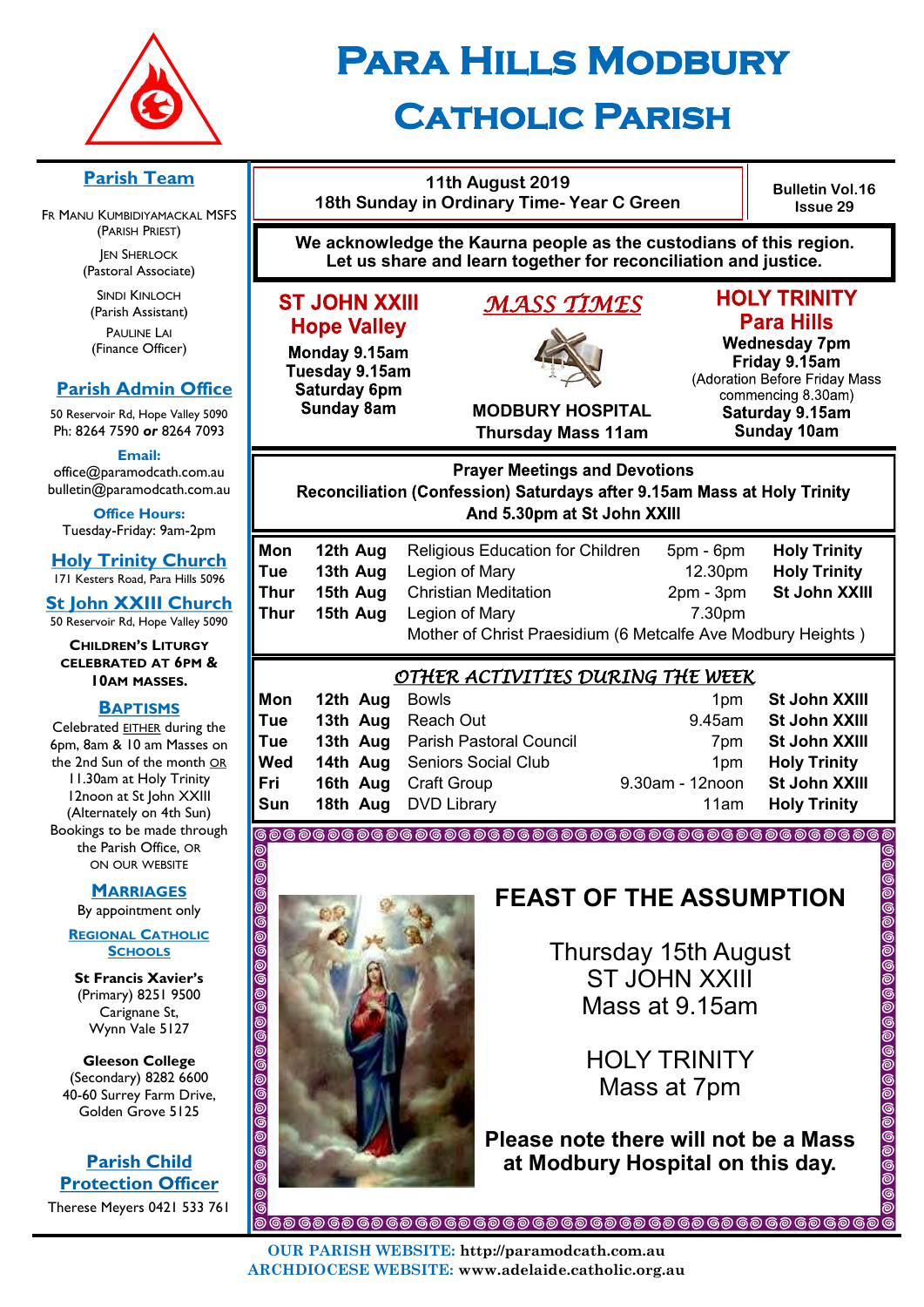

# **Para Hills Modbury Catholic Parish**

#### **11th August 2019 Bulletin Vol.16 18th Sunday in Ordinary Time- Year C Green Issue 29 We acknowledge the Kaurna people as the custodians of this region. Let us share and learn together for reconciliation and justice. HOLY TRINITY ST JOHN XXIII** *MASS TIMES*  **Para Hills Hope Valley Wednesday 7pm** Monday 9.15am Friday 9.15am Tuesday 9.15am (Adoration Before Friday Mass Saturday 6pm commencing 8.30am) **Sunday 8am MODBURY HOSPITAL** Saturday 9.15am **Thursday Mass 11am Sunday 10am Prayer Meetings and Devotions** Reconciliation (Confession) Saturdays after 9.15am Mass at Holy Trinity And 5.30pm at St John XXIII **Mon 12th Aug** Religious Education for Children 5pm - 6pm **Holy Trinity Tue 13th Aug** Legion of Mary 12.30pm **Holy Trinity Thur 15th Aug** Christian Meditation 2pm - 3pm **St John XXIII Thur 15th Aug** Legion of Mary **7.30pm** Mother of Christ Praesidium (6 Metcalfe Ave Modbury Heights ) *OTHER ACTIVITIES DURING THE WEEK*  **Mon 12th Aug** Bowls **1pm St John XXIII Tue 13th Aug** Reach Out 9.45am **St John XXIII Tue 13th Aug** Parish Pastoral Council **7pm St John XXIII Wed 14th Aug** Seniors Social Club 1pm **Holy Trinity Fri 16th Aug** Craft Group 9.30am - 12noon **St John XXIII Sun 18th Aug** DVD Library 11am **Holy Trinity O** @<br>ම <u>ම්</u> **FEAST OF THE ASSUMPTION**  00 0000 Thursday 15th August ST JOHN XXIII 0000 Mass at 9.15am 0000 HOLY TRINITY Mass at 7pm 00 <u>ම</u> **Please note there will not be a Mass**  <u>ම්</u> **at Modbury Hospital on this day.** $\check{\circ}$ **OUR PARISH WEBSITE: http://paramodcath.com.au ARCHDIOCESE WEBSITE: www.adelaide.catholic.org.au**

# **Parish Team**

FR MANU KUMBIDIYAMACKAL MSFS (PARISH PRIEST) **JEN SHERLOCK** 

(Pastoral Associate)

SINDI KINLOCH (Parish Assistant) PAULINE LAI (Finance Officer)

# **Parish Admin Office**

50 Reservoir Rd, Hope Valley 5090 Ph: 8264 7590 *or* 8264 7093

**Email:** 

office@paramodcath.com.au bulletin@paramodcath.com.au

**Office Hours:**  Tuesday-Friday: 9am-2pm

**Holy Trinity Church** 171 Kesters Road, Para Hills 5096

**St John XXIII Church** 50 Reservoir Rd, Hope Valley 5090

**CHILDREN'S LITURGY CELEBRATED AT 6PM & 10AM MASSES.**

#### **BAPTISMS**

Celebrated EITHER during the 6pm, 8am & 10 am Masses on the 2nd Sun of the month OR 11.30am at Holy Trinity 12noon at St John XXIII (Alternately on 4th Sun) Bookings to be made through the Parish Office, OR ON OUR WEBSITE

# **MARRIAGES**

By appointment only

**REGIONAL CATHOLIC SCHOOLS**

**St Francis Xavier's**  (Primary) 8251 9500 Carignane St, Wynn Vale 5127

**Gleeson College**  (Secondary) 8282 6600 40-60 Surrey Farm Drive, Golden Grove 5125

**Parish Child Protection Officer** Therese Meyers 0421 533 761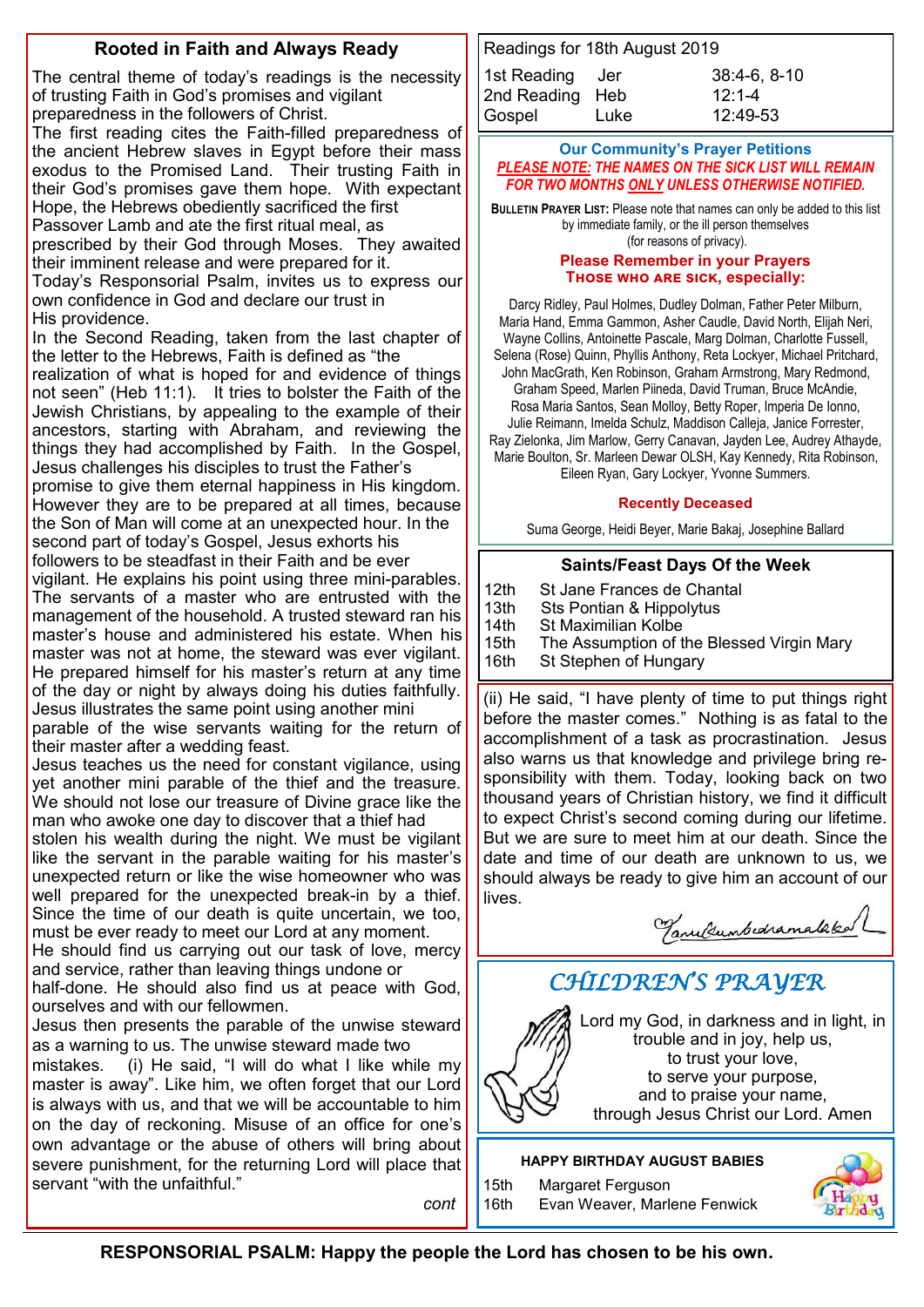# **Rooted in Faith and Always Ready**

The central theme of today's readings is the necessity of trusting Faith in God's promises and vigilant preparedness in the followers of Christ.

The first reading cites the Faith-filled preparedness of the ancient Hebrew slaves in Egypt before their mass exodus to the Promised Land. Their trusting Faith in their God's promises gave them hope. With expectant Hope, the Hebrews obediently sacrificed the first

Passover Lamb and ate the first ritual meal, as

prescribed by their God through Moses. They awaited their imminent release and were prepared for it.

Today's Responsorial Psalm, invites us to express our own confidence in God and declare our trust in His providence.

In the Second Reading, taken from the last chapter of the letter to the Hebrews, Faith is defined as "the

realization of what is hoped for and evidence of things not seen" (Heb 11:1). It tries to bolster the Faith of the Jewish Christians, by appealing to the example of their ancestors, starting with Abraham, and reviewing the things they had accomplished by Faith. In the Gospel, Jesus challenges his disciples to trust the Father's promise to give them eternal happiness in His kingdom. However they are to be prepared at all times, because the Son of Man will come at an unexpected hour. In the second part of today's Gospel, Jesus exhorts his followers to be steadfast in their Faith and be ever

vigilant. He explains his point using three mini-parables. The servants of a master who are entrusted with the management of the household. A trusted steward ran his master's house and administered his estate. When his master was not at home, the steward was ever vigilant. He prepared himself for his master's return at any time of the day or night by always doing his duties faithfully. Jesus illustrates the same point using another mini

parable of the wise servants waiting for the return of their master after a wedding feast.

Jesus teaches us the need for constant vigilance, using yet another mini parable of the thief and the treasure. We should not lose our treasure of Divine grace like the man who awoke one day to discover that a thief had

stolen his wealth during the night. We must be vigilant like the servant in the parable waiting for his master's unexpected return or like the wise homeowner who was well prepared for the unexpected break-in by a thief. Since the time of our death is quite uncertain, we too, must be ever ready to meet our Lord at any moment.

He should find us carrying out our task of love, mercy and service, rather than leaving things undone or

half-done. He should also find us at peace with God, ourselves and with our fellowmen.

Jesus then presents the parable of the unwise steward as a warning to us. The unwise steward made two

mistakes. (i) He said, "I will do what I like while my master is away". Like him, we often forget that our Lord is always with us, and that we will be accountable to him on the day of reckoning. Misuse of an office for one's own advantage or the abuse of others will bring about severe punishment, for the returning Lord will place that servant "with the unfaithful."

*cont*

| Readings for 18th August 2019 |      |                |
|-------------------------------|------|----------------|
| 1st Reading Jer               |      | $38:4-6, 8-10$ |
| 2nd Reading Heb               |      | $12:1 - 4$     |
| Gospel                        | Luke | 12:49-53       |

#### **Our Community's Prayer Petitions**  *PLEASE NOTE: THE NAMES ON THE SICK LIST WILL REMAIN FOR TWO MONTHS ONLY UNLESS OTHERWISE NOTIFIED.*

**BULLETIN PRAYER LIST:** Please note that names can only be added to this list by immediate family, or the ill person themselves (for reasons of privacy).

#### **Please Remember in your Prayers Those who are sick, especially:**

Darcy Ridley, Paul Holmes, Dudley Dolman, Father Peter Milburn, Maria Hand, Emma Gammon, Asher Caudle, David North, Elijah Neri, Wayne Collins, Antoinette Pascale, Marg Dolman, Charlotte Fussell, Selena (Rose) Quinn, Phyllis Anthony, Reta Lockyer, Michael Pritchard, John MacGrath, Ken Robinson, Graham Armstrong, Mary Redmond, Graham Speed, Marlen Piineda, David Truman, Bruce McAndie, Rosa Maria Santos, Sean Molloy, Betty Roper, Imperia De Ionno, Julie Reimann, Imelda Schulz, Maddison Calleja, Janice Forrester, Ray Zielonka, Jim Marlow, Gerry Canavan, Jayden Lee, Audrey Athayde, Marie Boulton, Sr. Marleen Dewar OLSH, Kay Kennedy, Rita Robinson, Eileen Ryan, Gary Lockyer, Yvonne Summers.

#### **Recently Deceased**

Suma George, Heidi Beyer, Marie Bakaj, Josephine Ballard

# **Saints/Feast Days Of the Week**

- 12th St Jane Frances de Chantal<br>13th Sts Pontian & Hippolytus
- 13th Sts Pontian & Hippolytus<br>14th St Maximilian Kolbe
- **St Maximilian Kolbe**
- 15th The Assumption of the Blessed Virgin Mary
- 16th St Stephen of Hungary

(ii) He said, "I have plenty of time to put things right before the master comes." Nothing is as fatal to the accomplishment of a task as procrastination. Jesus also warns us that knowledge and privilege bring responsibility with them. Today, looking back on two thousand years of Christian history, we find it difficult to expect Christ's second coming during our lifetime. But we are sure to meet him at our death. Since the date and time of our death are unknown to us, we should always be ready to give him an account of our lives.

Tanultumbedramalaked

# *CHILDREN'S PRAYER*



Lord my God, in darkness and in light, in trouble and in joy, help us, to trust your love, to serve your purpose, and to praise your name, through Jesus Christ our Lord. Amen

**HAPPY BIRTHDAY AUGUST BABIES**

15th Margaret Ferguson 16th Evan Weaver, Marlene Fenwick

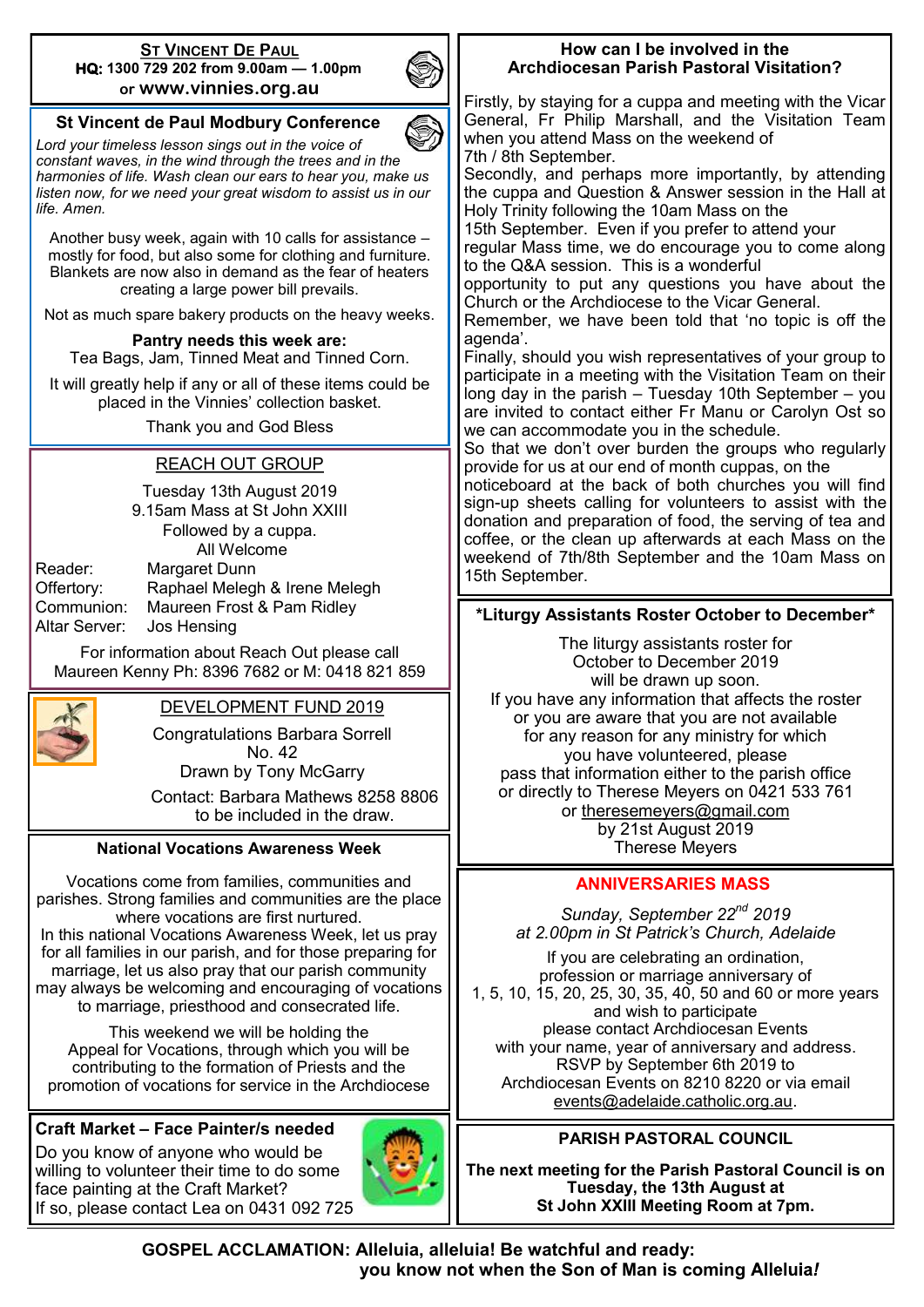#### **ST VINCENT DE PAUL HQ: 1300 729 202 from 9.00am — 1.00pm or www.vinnies.org.au**



# **St Vincent de Paul Modbury Conference**

*Lord your timeless lesson sings out in the voice of constant waves, in the wind through the trees and in the harmonies of life. Wash clean our ears to hear you, make us listen now, for we need your great wisdom to assist us in our life. Amen.*

Another busy week, again with 10 calls for assistance – mostly for food, but also some for clothing and furniture. Blankets are now also in demand as the fear of heaters creating a large power bill prevails.

Not as much spare bakery products on the heavy weeks.

#### **Pantry needs this week are:**

Tea Bags, Jam, Tinned Meat and Tinned Corn.

It will greatly help if any or all of these items could be placed in the Vinnies' collection basket.

Thank you and God Bless

### REACH OUT GROUP

Tuesday 13th August 2019 9.15am Mass at St John XXIII Followed by a cuppa. All Welcome

Reader: Margaret Dunn Offertory: Raphael Melegh & Irene Melegh Communion: Maureen Frost & Pam Ridley Altar Server: Jos Hensing

For information about Reach Out please call Maureen Kenny Ph: 8396 7682 or M: 0418 821 859



# DEVELOPMENT FUND 2019

Congratulations Barbara Sorrell No. 42 Drawn by Tony McGarry

Contact: Barbara Mathews 8258 8806 to be included in the draw.

#### **National Vocations Awareness Week**

Vocations come from families, communities and parishes. Strong families and communities are the place where vocations are first nurtured.

In this national Vocations Awareness Week, let us pray for all families in our parish, and for those preparing for marriage, let us also pray that our parish community may always be welcoming and encouraging of vocations to marriage, priesthood and consecrated life.

This weekend we will be holding the Appeal for Vocations, through which you will be contributing to the formation of Priests and the promotion of vocations for service in the Archdiocese

# **Craft Market – Face Painter/s needed**

Do you know of anyone who would be willing to volunteer their time to do some face painting at the Craft Market? If so, please contact Lea on 0431 092 725



#### **How can I be involved in the Archdiocesan Parish Pastoral Visitation?**

Firstly, by staying for a cuppa and meeting with the Vicar General, Fr Philip Marshall, and the Visitation Team when you attend Mass on the weekend of 7th / 8th September.

Secondly, and perhaps more importantly, by attending the cuppa and Question & Answer session in the Hall at Holy Trinity following the 10am Mass on the

15th September. Even if you prefer to attend your

regular Mass time, we do encourage you to come along to the Q&A session. This is a wonderful

opportunity to put any questions you have about the Church or the Archdiocese to the Vicar General.

Remember, we have been told that 'no topic is off the agenda'.

Finally, should you wish representatives of your group to participate in a meeting with the Visitation Team on their long day in the parish – Tuesday 10th September – you are invited to contact either Fr Manu or Carolyn Ost so we can accommodate you in the schedule.

So that we don't over burden the groups who regularly provide for us at our end of month cuppas, on the

noticeboard at the back of both churches you will find sign-up sheets calling for volunteers to assist with the donation and preparation of food, the serving of tea and coffee, or the clean up afterwards at each Mass on the weekend of 7th/8th September and the 10am Mass on 15th September.

### **\*Liturgy Assistants Roster October to December\***

The liturgy assistants roster for October to December 2019 will be drawn up soon. If you have any information that affects the roster or you are aware that you are not available for any reason for any ministry for which you have volunteered, please pass that information either to the parish office or directly to Therese Meyers on 0421 533 761 or [theresemeyers@gmail.com](https://www.paramodcath.com.au:2096/cpsess4468909295/horde/imp/dynamic.php?page=mailbox#) by 21st August 2019 Therese Meyers

#### **ANNIVERSARIES MASS**

*Sunday, September 22nd 2019 at 2.00pm in St Patrick's Church, Adelaide*

If you are celebrating an ordination, profession or marriage anniversary of 1, 5, 10, 15, 20, 25, 30, 35, 40, 50 and 60 or more years and wish to participate please contact Archdiocesan Events with your name, year of anniversary and address. RSVP by September 6th 2019 to Archdiocesan Events on 8210 8220 or via email [events@adelaide.catholic.org.au.](mailto:events@adelaide.catholic.org.au)

# **PARISH PASTORAL COUNCIL**

**The next meeting for the Parish Pastoral Council is on Tuesday, the 13th August at St John XXIII Meeting Room at 7pm.**

 **GOSPEL ACCLAMATION: Alleluia, alleluia! Be watchful and ready: you know not when the Son of Man is coming**